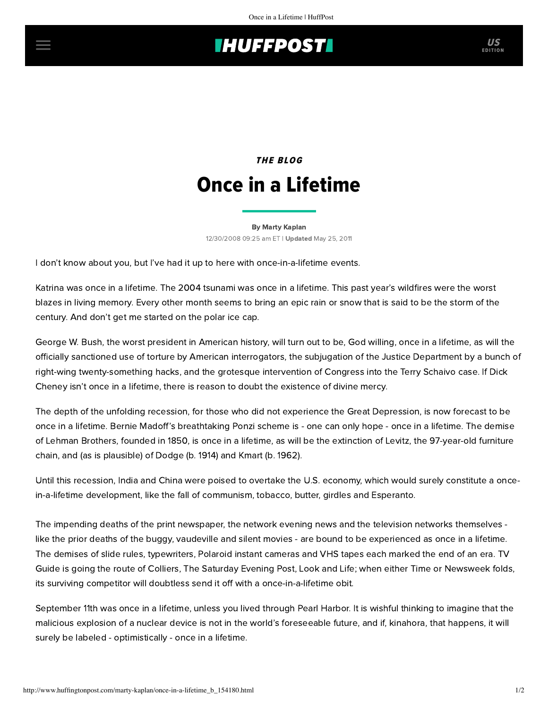## **INUFFPOSTI** US

## **THE BLOG** Once in a Lifetime

[By Marty Kaplan](http://www.huffingtonpost.com/author/marty-kaplan) 12/30/2008 09:25 am ET | Updated May 25, 2011

I don't know about you, but I've had it up to here with once-in-a-lifetime events.

Katrina was once in a lifetime. The 2004 tsunami was once in a lifetime. This past year's wildfires were the worst blazes in living memory. Every other month seems to bring an epic rain or snow that is said to be the storm of the century. And don't get me started on the polar ice cap.

George W. Bush, the worst president in American history, will turn out to be, God willing, once in a lifetime, as will the officially sanctioned use of torture by American interrogators, the subjugation of the Justice Department by a bunch of right-wing twenty-something hacks, and the grotesque intervention of Congress into the Terry Schaivo case. If Dick Cheney isn't once in a lifetime, there is reason to doubt the existence of divine mercy.

The depth of the unfolding recession, for those who did not experience the Great Depression, is now forecast to be once in a lifetime. Bernie Madoff's breathtaking Ponzi scheme is - one can only hope - once in a lifetime. The demise of Lehman Brothers, founded in 1850, is once in a lifetime, as will be the extinction of Levitz, the 97-year-old furniture chain, and (as is plausible) of Dodge (b. 1914) and Kmart (b. 1962).

Until this recession, India and China were poised to overtake the U.S. economy, which would surely constitute a oncein-a-lifetime development, like the fall of communism, tobacco, butter, girdles and Esperanto.

The impending deaths of the print newspaper, the network evening news and the television networks themselves like the prior deaths of the buggy, vaudeville and silent movies - are bound to be experienced as once in a lifetime. The demises of slide rules, typewriters, Polaroid instant cameras and VHS tapes each marked the end of an era. TV Guide is going the route of Colliers, The Saturday Evening Post, Look and Life; when either Time or Newsweek folds, its surviving competitor will doubtless send it off with a once-in-a-lifetime obit.

September 11th was once in a lifetime, unless you lived through Pearl Harbor. It is wishful thinking to imagine that the malicious explosion of a nuclear device is not in the world's foreseeable future, and if, kinahora, that happens, it will surely be labeled - optimistically - once in a lifetime.